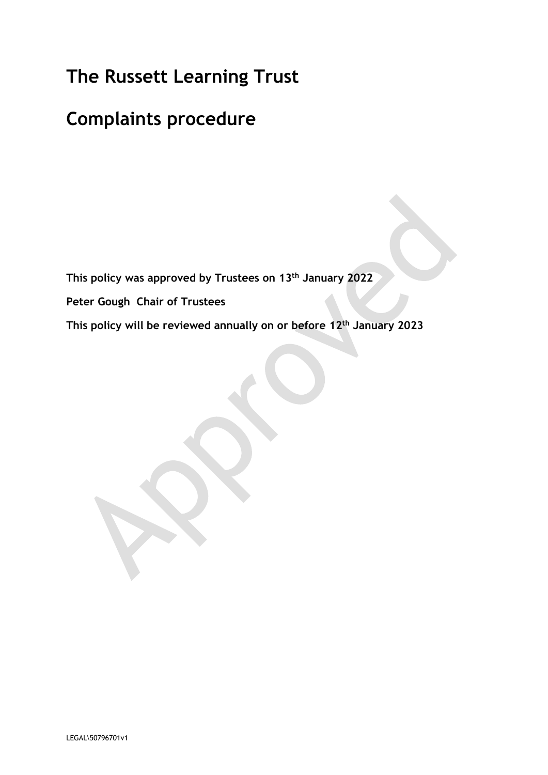# **The Russett Learning Trust**

# **Complaints procedure**

**This policy was approved by Trustees on 13th January 2022**

**Peter Gough Chair of Trustees**

**This policy will be reviewed annually on or before 12th January 2023**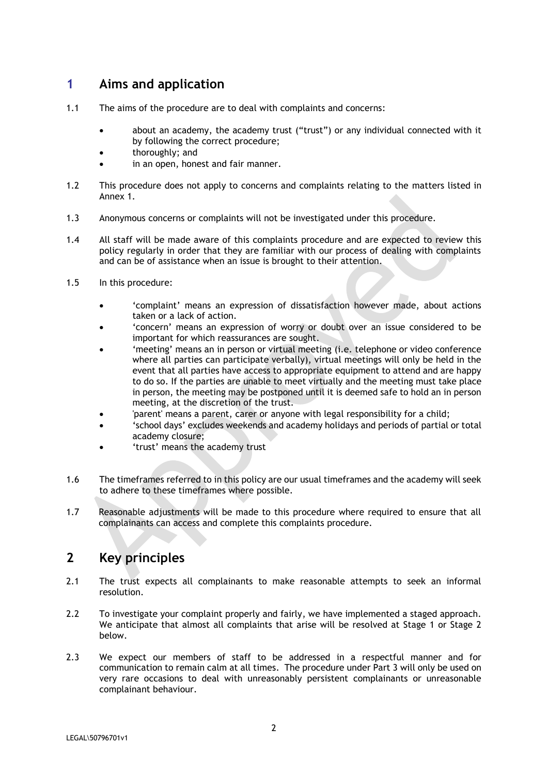# **1 Aims and application**

- 1.1 The aims of the procedure are to deal with complaints and concerns:
	- about an academy, the academy trust ("trust") or any individual connected with it by following the correct procedure;
	- thoroughly; and
	- in an open, honest and fair manner.
- 1.2 This procedure does not apply to concerns and complaints relating to the matters listed in Annex 1.
- 1.3 Anonymous concerns or complaints will not be investigated under this procedure.
- 1.4 All staff will be made aware of this complaints procedure and are expected to review this policy regularly in order that they are familiar with our process of dealing with complaints and can be of assistance when an issue is brought to their attention.
- 1.5 In this procedure:
	- 'complaint' means an expression of dissatisfaction however made, about actions taken or a lack of action.
	- 'concern' means an expression of worry or doubt over an issue considered to be important for which reassurances are sought.
	- 'meeting' means an in person or virtual meeting (i.e. telephone or video conference where all parties can participate verbally), virtual meetings will only be held in the event that all parties have access to appropriate equipment to attend and are happy to do so. If the parties are unable to meet virtually and the meeting must take place in person, the meeting may be postponed until it is deemed safe to hold an in person meeting, at the discretion of the trust.
	- 'parent' means a parent, carer or anyone with legal responsibility for a child;
	- 'school days' excludes weekends and academy holidays and periods of partial or total academy closure;
	- 'trust' means the academy trust
- 1.6 The timeframes referred to in this policy are our usual timeframes and the academy will seek to adhere to these timeframes where possible.
- 1.7 Reasonable adjustments will be made to this procedure where required to ensure that all complainants can access and complete this complaints procedure.

### **2 Key principles**

- 2.1 The trust expects all complainants to make reasonable attempts to seek an informal resolution.
- 2.2 To investigate your complaint properly and fairly, we have implemented a staged approach. We anticipate that almost all complaints that arise will be resolved at Stage 1 or Stage 2 below.
- 2.3 We expect our members of staff to be addressed in a respectful manner and for communication to remain calm at all times. The procedure under Part 3 will only be used on very rare occasions to deal with unreasonably persistent complainants or unreasonable complainant behaviour.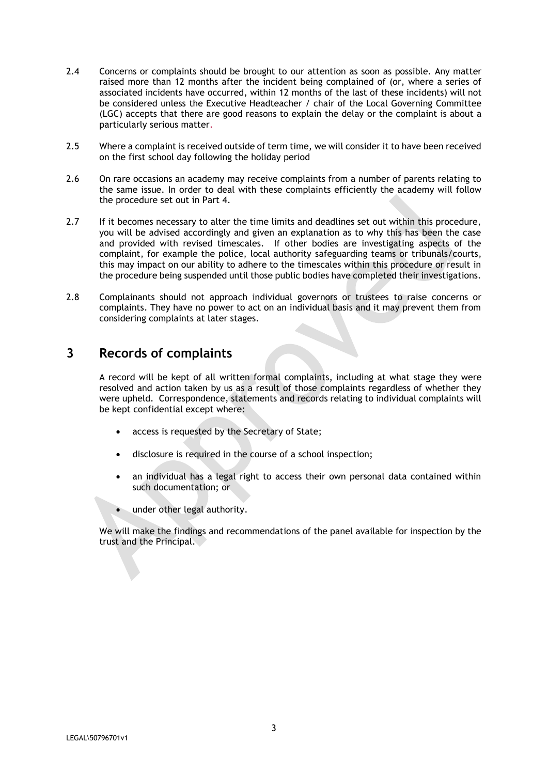- 2.4 Concerns or complaints should be brought to our attention as soon as possible. Any matter raised more than 12 months after the incident being complained of (or, where a series of associated incidents have occurred, within 12 months of the last of these incidents) will not be considered unless the Executive Headteacher / chair of the Local Governing Committee (LGC) accepts that there are good reasons to explain the delay or the complaint is about a particularly serious matter.
- 2.5 Where a complaint is received outside of term time, we will consider it to have been received on the first school day following the holiday period
- 2.6 On rare occasions an academy may receive complaints from a number of parents relating to the same issue. In order to deal with these complaints efficiently the academy will follow the procedure set out in Part 4.
- 2.7 If it becomes necessary to alter the time limits and deadlines set out within this procedure, you will be advised accordingly and given an explanation as to why this has been the case and provided with revised timescales. If other bodies are investigating aspects of the complaint, for example the police, local authority safeguarding teams or tribunals/courts, this may impact on our ability to adhere to the timescales within this procedure or result in the procedure being suspended until those public bodies have completed their investigations.
- 2.8 Complainants should not approach individual governors or trustees to raise concerns or complaints. They have no power to act on an individual basis and it may prevent them from considering complaints at later stages.

### **3 Records of complaints**

A record will be kept of all written formal complaints, including at what stage they were resolved and action taken by us as a result of those complaints regardless of whether they were upheld. Correspondence, statements and records relating to individual complaints will be kept confidential except where:

- access is requested by the Secretary of State;
- disclosure is required in the course of a school inspection;
- an individual has a legal right to access their own personal data contained within such documentation; or
- under other legal authority.

We will make the findings and recommendations of the panel available for inspection by the trust and the Principal.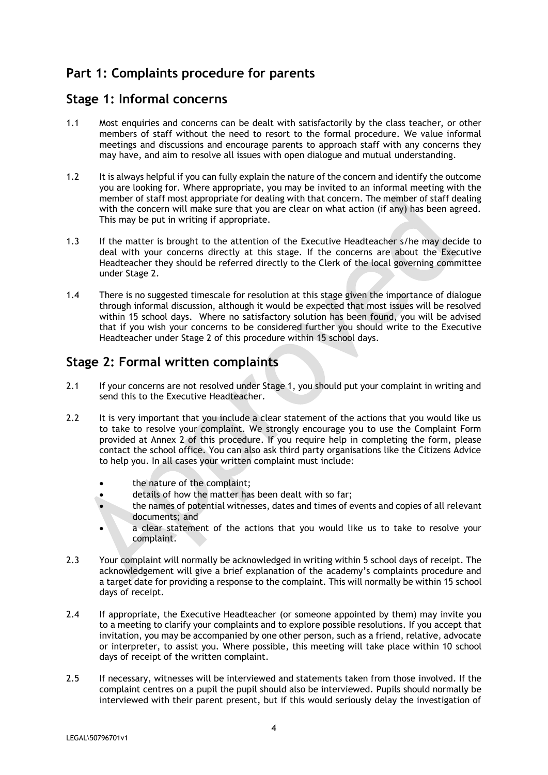# **Part 1: Complaints procedure for parents**

#### **Stage 1: Informal concerns**

- 1.1 Most enquiries and concerns can be dealt with satisfactorily by the class teacher, or other members of staff without the need to resort to the formal procedure. We value informal meetings and discussions and encourage parents to approach staff with any concerns they may have, and aim to resolve all issues with open dialogue and mutual understanding.
- 1.2 It is always helpful if you can fully explain the nature of the concern and identify the outcome you are looking for. Where appropriate, you may be invited to an informal meeting with the member of staff most appropriate for dealing with that concern. The member of staff dealing with the concern will make sure that you are clear on what action (if any) has been agreed. This may be put in writing if appropriate.
- 1.3 If the matter is brought to the attention of the Executive Headteacher s/he may decide to deal with your concerns directly at this stage. If the concerns are about the Executive Headteacher they should be referred directly to the Clerk of the local governing committee under Stage 2.
- 1.4 There is no suggested timescale for resolution at this stage given the importance of dialogue through informal discussion, although it would be expected that most issues will be resolved within 15 school days. Where no satisfactory solution has been found, you will be advised that if you wish your concerns to be considered further you should write to the Executive Headteacher under Stage 2 of this procedure within 15 school days.

# **Stage 2: Formal written complaints**

- 2.1 If your concerns are not resolved under Stage 1, you should put your complaint in writing and send this to the Executive Headteacher.
- 2.2 It is very important that you include a clear statement of the actions that you would like us to take to resolve your complaint. We strongly encourage you to use the Complaint Form provided at Annex 2 of this procedure. If you require help in completing the form, please contact the school office. You can also ask third party organisations like the Citizens Advice to help you. In all cases your written complaint must include:
	- the nature of the complaint;
	- details of how the matter has been dealt with so far;
	- the names of potential witnesses, dates and times of events and copies of all relevant documents; and
	- a clear statement of the actions that you would like us to take to resolve your complaint.
- 2.3 Your complaint will normally be acknowledged in writing within 5 school days of receipt. The acknowledgement will give a brief explanation of the academy's complaints procedure and a target date for providing a response to the complaint. This will normally be within 15 school days of receipt.
- 2.4 If appropriate, the Executive Headteacher (or someone appointed by them) may invite you to a meeting to clarify your complaints and to explore possible resolutions. If you accept that invitation, you may be accompanied by one other person, such as a friend, relative, advocate or interpreter, to assist you. Where possible, this meeting will take place within 10 school days of receipt of the written complaint.
- 2.5 If necessary, witnesses will be interviewed and statements taken from those involved. If the complaint centres on a pupil the pupil should also be interviewed. Pupils should normally be interviewed with their parent present, but if this would seriously delay the investigation of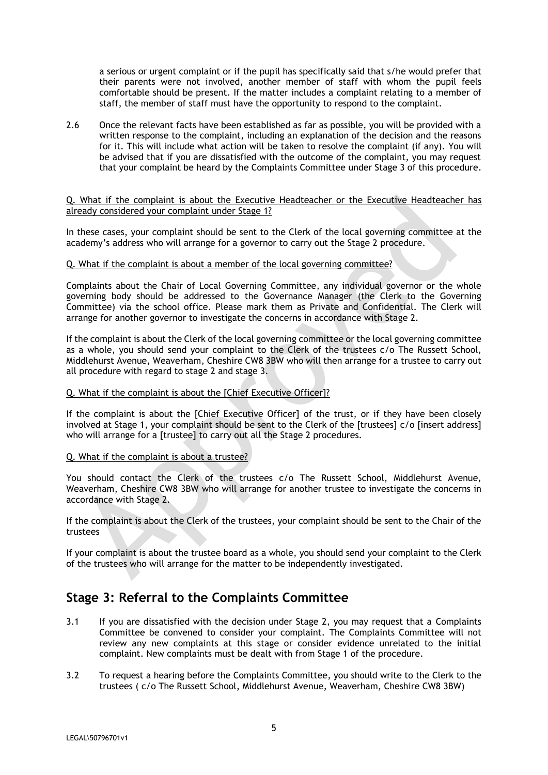a serious or urgent complaint or if the pupil has specifically said that s/he would prefer that their parents were not involved, another member of staff with whom the pupil feels comfortable should be present. If the matter includes a complaint relating to a member of staff, the member of staff must have the opportunity to respond to the complaint.

2.6 Once the relevant facts have been established as far as possible, you will be provided with a written response to the complaint, including an explanation of the decision and the reasons for it. This will include what action will be taken to resolve the complaint (if any). You will be advised that if you are dissatisfied with the outcome of the complaint, you may request that your complaint be heard by the Complaints Committee under Stage 3 of this procedure.

#### Q. What if the complaint is about the Executive Headteacher or the Executive Headteacher has already considered your complaint under Stage 1?

In these cases, your complaint should be sent to the Clerk of the local governing committee at the academy's address who will arrange for a governor to carry out the Stage 2 procedure.

#### Q. What if the complaint is about a member of the local governing committee?

Complaints about the Chair of Local Governing Committee, any individual governor or the whole governing body should be addressed to the Governance Manager (the Clerk to the Governing Committee) via the school office. Please mark them as Private and Confidential. The Clerk will arrange for another governor to investigate the concerns in accordance with Stage 2.

If the complaint is about the Clerk of the local governing committee or the local governing committee as a whole, you should send your complaint to the Clerk of the trustees c/o The Russett School, Middlehurst Avenue, Weaverham, Cheshire CW8 3BW who will then arrange for a trustee to carry out all procedure with regard to stage 2 and stage 3.

#### Q. What if the complaint is about the [Chief Executive Officer]?

If the complaint is about the [Chief Executive Officer] of the trust, or if they have been closely involved at Stage 1, your complaint should be sent to the Clerk of the [trustees] c/o [insert address] who will arrange for a [trustee] to carry out all the Stage 2 procedures.

#### Q. What if the complaint is about a trustee?

You should contact the Clerk of the trustees c/o The Russett School, Middlehurst Avenue, Weaverham, Cheshire CW8 3BW who will arrange for another trustee to investigate the concerns in accordance with Stage 2.

If the complaint is about the Clerk of the trustees, your complaint should be sent to the Chair of the trustees

If your complaint is about the trustee board as a whole, you should send your complaint to the Clerk of the trustees who will arrange for the matter to be independently investigated.

### **Stage 3: Referral to the Complaints Committee**

- 3.1 If you are dissatisfied with the decision under Stage 2, you may request that a Complaints Committee be convened to consider your complaint. The Complaints Committee will not review any new complaints at this stage or consider evidence unrelated to the initial complaint. New complaints must be dealt with from Stage 1 of the procedure.
- 3.2 To request a hearing before the Complaints Committee, you should write to the Clerk to the trustees ( c/o The Russett School, Middlehurst Avenue, Weaverham, Cheshire CW8 3BW)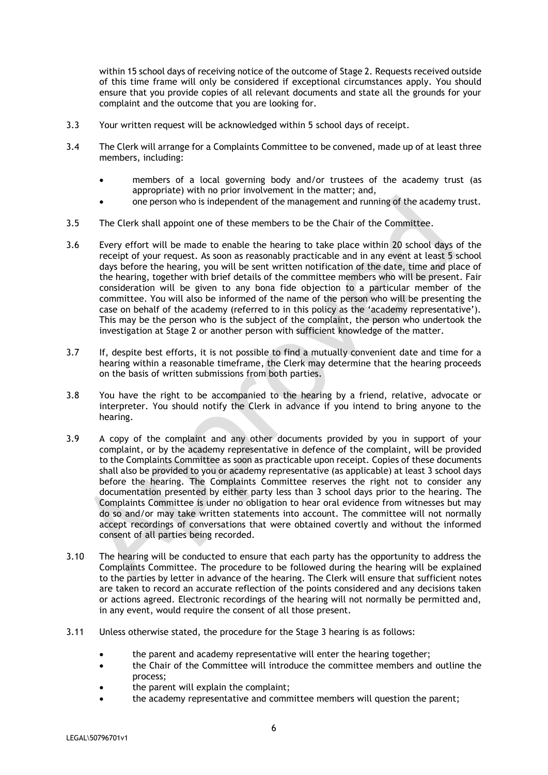within 15 school days of receiving notice of the outcome of Stage 2. Requests received outside of this time frame will only be considered if exceptional circumstances apply. You should ensure that you provide copies of all relevant documents and state all the grounds for your complaint and the outcome that you are looking for.

- 3.3 Your written request will be acknowledged within 5 school days of receipt.
- 3.4 The Clerk will arrange for a Complaints Committee to be convened, made up of at least three members, including:
	- members of a local governing body and/or trustees of the academy trust (as appropriate) with no prior involvement in the matter; and,
	- one person who is independent of the management and running of the academy trust.
- 3.5 The Clerk shall appoint one of these members to be the Chair of the Committee.
- 3.6 Every effort will be made to enable the hearing to take place within 20 school days of the receipt of your request. As soon as reasonably practicable and in any event at least 5 school days before the hearing, you will be sent written notification of the date, time and place of the hearing, together with brief details of the committee members who will be present. Fair consideration will be given to any bona fide objection to a particular member of the committee. You will also be informed of the name of the person who will be presenting the case on behalf of the academy (referred to in this policy as the 'academy representative'). This may be the person who is the subject of the complaint, the person who undertook the investigation at Stage 2 or another person with sufficient knowledge of the matter.
- 3.7 If, despite best efforts, it is not possible to find a mutually convenient date and time for a hearing within a reasonable timeframe, the Clerk may determine that the hearing proceeds on the basis of written submissions from both parties.
- 3.8 You have the right to be accompanied to the hearing by a friend, relative, advocate or interpreter. You should notify the Clerk in advance if you intend to bring anyone to the hearing.
- 3.9 A copy of the complaint and any other documents provided by you in support of your complaint, or by the academy representative in defence of the complaint, will be provided to the Complaints Committee as soon as practicable upon receipt. Copies of these documents shall also be provided to you or academy representative (as applicable) at least 3 school days before the hearing. The Complaints Committee reserves the right not to consider any documentation presented by either party less than 3 school days prior to the hearing. The Complaints Committee is under no obligation to hear oral evidence from witnesses but may do so and/or may take written statements into account. The committee will not normally accept recordings of conversations that were obtained covertly and without the informed consent of all parties being recorded.
- 3.10 The hearing will be conducted to ensure that each party has the opportunity to address the Complaints Committee. The procedure to be followed during the hearing will be explained to the parties by letter in advance of the hearing. The Clerk will ensure that sufficient notes are taken to record an accurate reflection of the points considered and any decisions taken or actions agreed. Electronic recordings of the hearing will not normally be permitted and, in any event, would require the consent of all those present.
- 3.11 Unless otherwise stated, the procedure for the Stage 3 hearing is as follows:
	- the parent and academy representative will enter the hearing together;
	- the Chair of the Committee will introduce the committee members and outline the process;
	- the parent will explain the complaint;
	- the academy representative and committee members will question the parent;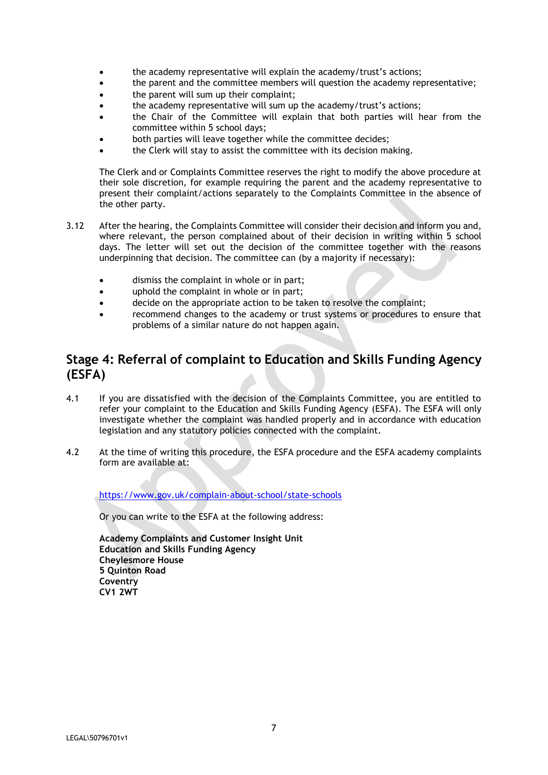- the academy representative will explain the academy/trust's actions;
- the parent and the committee members will question the academy representative;
- the parent will sum up their complaint;
- the academy representative will sum up the academy/trust's actions;
- the Chair of the Committee will explain that both parties will hear from the committee within 5 school days;
- both parties will leave together while the committee decides;
- the Clerk will stay to assist the committee with its decision making.

The Clerk and or Complaints Committee reserves the right to modify the above procedure at their sole discretion, for example requiring the parent and the academy representative to present their complaint/actions separately to the Complaints Committee in the absence of the other party.

- 3.12 After the hearing, the Complaints Committee will consider their decision and inform you and, where relevant, the person complained about of their decision in writing within 5 school days. The letter will set out the decision of the committee together with the reasons underpinning that decision. The committee can (by a majority if necessary):
	- dismiss the complaint in whole or in part;
	- uphold the complaint in whole or in part;
	- decide on the appropriate action to be taken to resolve the complaint;
	- recommend changes to the academy or trust systems or procedures to ensure that problems of a similar nature do not happen again.

## **Stage 4: Referral of complaint to Education and Skills Funding Agency (ESFA)**

- 4.1 If you are dissatisfied with the decision of the Complaints Committee, you are entitled to refer your complaint to the Education and Skills Funding Agency (ESFA). The ESFA will only investigate whether the complaint was handled properly and in accordance with education legislation and any statutory policies connected with the complaint.
- 4.2 At the time of writing this procedure, the ESFA procedure and the ESFA academy complaints form are available at:

<https://www.gov.uk/complain-about-school/state-schools>

Or you can write to the ESFA at the following address:

**Academy Complaints and Customer Insight Unit Education and Skills Funding Agency Cheylesmore House 5 Quinton Road Coventry CV1 2WT**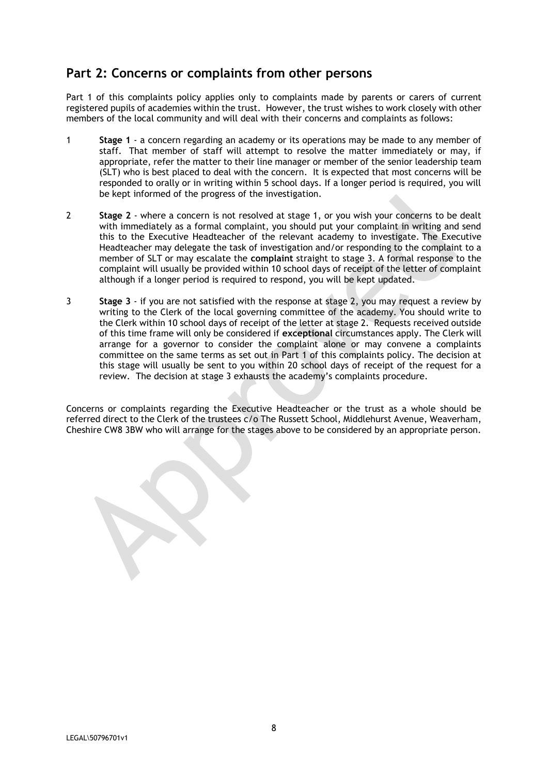# **Part 2: Concerns or complaints from other persons**

Part 1 of this complaints policy applies only to complaints made by parents or carers of current registered pupils of academies within the trust. However, the trust wishes to work closely with other members of the local community and will deal with their concerns and complaints as follows:

- 1 **Stage 1** a concern regarding an academy or its operations may be made to any member of staff. That member of staff will attempt to resolve the matter immediately or may, if appropriate, refer the matter to their line manager or member of the senior leadership team (SLT) who is best placed to deal with the concern. It is expected that most concerns will be responded to orally or in writing within 5 school days. If a longer period is required, you will be kept informed of the progress of the investigation.
- 2 **Stage 2** where a concern is not resolved at stage 1, or you wish your concerns to be dealt with immediately as a formal complaint, you should put your complaint in writing and send this to the Executive Headteacher of the relevant academy to investigate. The Executive Headteacher may delegate the task of investigation and/or responding to the complaint to a member of SLT or may escalate the **complaint** straight to stage 3. A formal response to the complaint will usually be provided within 10 school days of receipt of the letter of complaint although if a longer period is required to respond, you will be kept updated.
- 3 **Stage 3** if you are not satisfied with the response at stage 2, you may request a review by writing to the Clerk of the local governing committee of the academy. You should write to the Clerk within 10 school days of receipt of the letter at stage 2. Requests received outside of this time frame will only be considered if **exceptional** circumstances apply. The Clerk will arrange for a governor to consider the complaint alone or may convene a complaints committee on the same terms as set out in Part 1 of this complaints policy. The decision at this stage will usually be sent to you within 20 school days of receipt of the request for a review. The decision at stage 3 exhausts the academy's complaints procedure.

Concerns or complaints regarding the Executive Headteacher or the trust as a whole should be referred direct to the Clerk of the trustees c/o The Russett School, Middlehurst Avenue, Weaverham, Cheshire CW8 3BW who will arrange for the stages above to be considered by an appropriate person.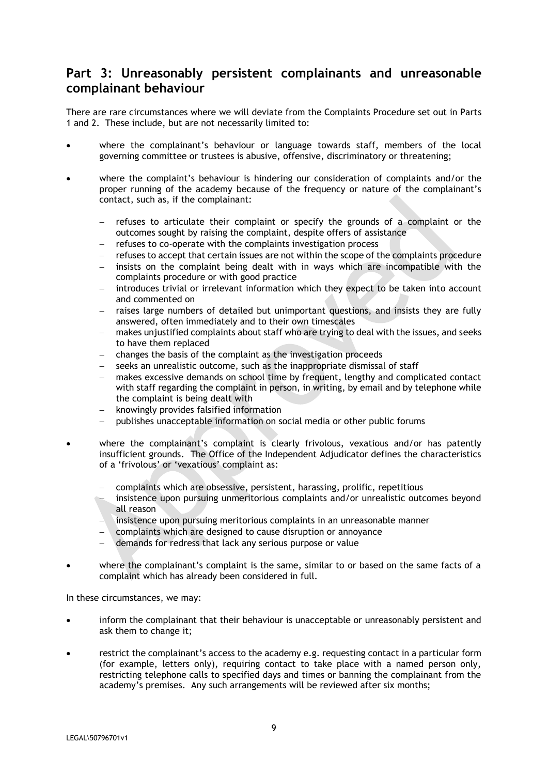### **Part 3: Unreasonably persistent complainants and unreasonable complainant behaviour**

There are rare circumstances where we will deviate from the Complaints Procedure set out in Parts 1 and 2. These include, but are not necessarily limited to:

- where the complainant's behaviour or language towards staff, members of the local governing committee or trustees is abusive, offensive, discriminatory or threatening;
- where the complaint's behaviour is hindering our consideration of complaints and/or the proper running of the academy because of the frequency or nature of the complainant's contact, such as, if the complainant:
	- refuses to articulate their complaint or specify the grounds of a complaint or the outcomes sought by raising the complaint, despite offers of assistance
	- refuses to co-operate with the complaints investigation process
	- refuses to accept that certain issues are not within the scope of the complaints procedure
	- insists on the complaint being dealt with in ways which are incompatible with the complaints procedure or with good practice
	- introduces trivial or irrelevant information which they expect to be taken into account and commented on
	- raises large numbers of detailed but unimportant questions, and insists they are fully answered, often immediately and to their own timescales
	- makes unjustified complaints about staff who are trying to deal with the issues, and seeks to have them replaced
	- changes the basis of the complaint as the investigation proceeds
	- seeks an unrealistic outcome, such as the inappropriate dismissal of staff
	- makes excessive demands on school time by frequent, lengthy and complicated contact with staff regarding the complaint in person, in writing, by email and by telephone while the complaint is being dealt with
	- knowingly provides falsified information
	- publishes unacceptable information on social media or other public forums
- where the complainant's complaint is clearly frivolous, vexatious and/or has patently insufficient grounds. The Office of the Independent Adjudicator defines the characteristics of a 'frivolous' or 'vexatious' complaint as:
	- complaints which are obsessive, persistent, harassing, prolific, repetitious
	- insistence upon pursuing unmeritorious complaints and/or unrealistic outcomes beyond all reason
	- insistence upon pursuing meritorious complaints in an unreasonable manner
	- complaints which are designed to cause disruption or annoyance
	- demands for redress that lack any serious purpose or value
- where the complainant's complaint is the same, similar to or based on the same facts of a complaint which has already been considered in full.

In these circumstances, we may:

- inform the complainant that their behaviour is unacceptable or unreasonably persistent and ask them to change it;
- restrict the complainant's access to the academy e.g. requesting contact in a particular form (for example, letters only), requiring contact to take place with a named person only, restricting telephone calls to specified days and times or banning the complainant from the academy's premises. Any such arrangements will be reviewed after six months;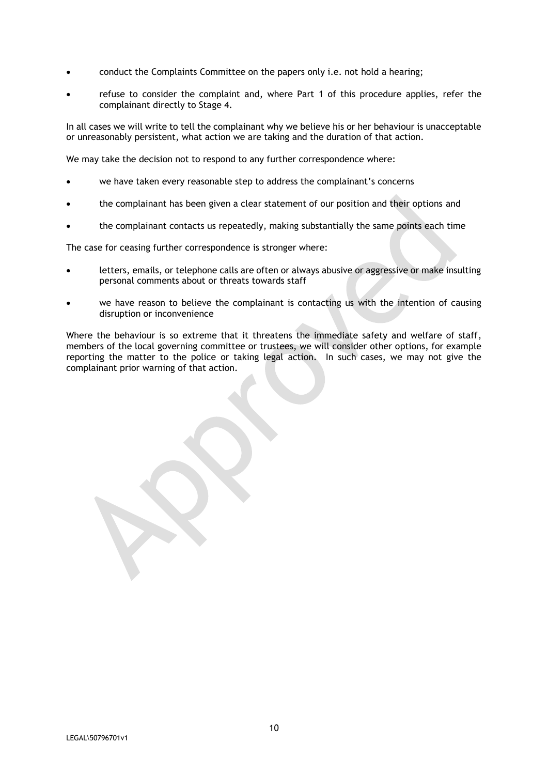- conduct the Complaints Committee on the papers only i.e. not hold a hearing;
- refuse to consider the complaint and, where Part 1 of this procedure applies, refer the complainant directly to Stage 4.

In all cases we will write to tell the complainant why we believe his or her behaviour is unacceptable or unreasonably persistent, what action we are taking and the duration of that action.

We may take the decision not to respond to any further correspondence where:

- we have taken every reasonable step to address the complainant's concerns
- the complainant has been given a clear statement of our position and their options and
- the complainant contacts us repeatedly, making substantially the same points each time

The case for ceasing further correspondence is stronger where:

- letters, emails, or telephone calls are often or always abusive or aggressive or make insulting personal comments about or threats towards staff
- we have reason to believe the complainant is contacting us with the intention of causing disruption or inconvenience

Where the behaviour is so extreme that it threatens the immediate safety and welfare of staff, members of the local governing committee or trustees, we will consider other options, for example reporting the matter to the police or taking legal action. In such cases, we may not give the complainant prior warning of that action.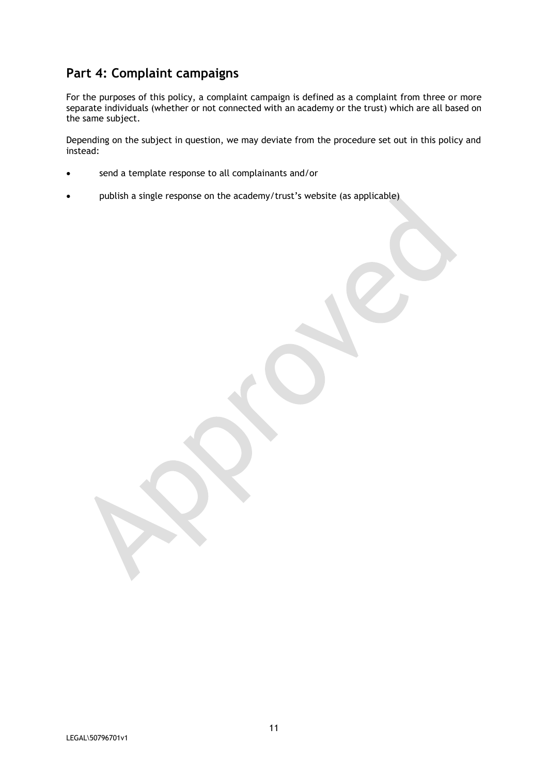# **Part 4: Complaint campaigns**

For the purposes of this policy, a complaint campaign is defined as a complaint from three or more separate individuals (whether or not connected with an academy or the trust) which are all based on the same subject.

Depending on the subject in question, we may deviate from the procedure set out in this policy and instead:

- send a template response to all complainants and/or
- publish a single response on the academy/trust's website (as applicable)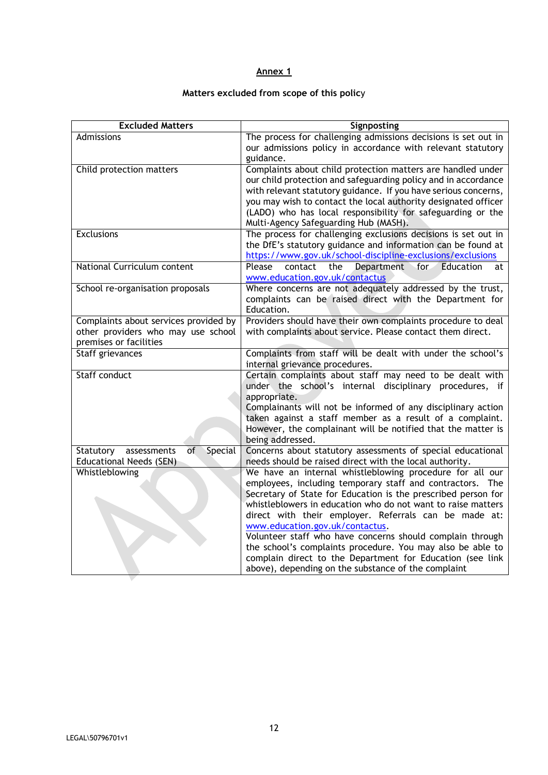#### **Annex 1**

#### **Matters excluded from scope of this polic**y

| <b>Excluded Matters</b>                   | Signposting                                                                                                                |
|-------------------------------------------|----------------------------------------------------------------------------------------------------------------------------|
| Admissions                                | The process for challenging admissions decisions is set out in                                                             |
|                                           | our admissions policy in accordance with relevant statutory                                                                |
|                                           | guidance.                                                                                                                  |
| Child protection matters                  | Complaints about child protection matters are handled under                                                                |
|                                           | our child protection and safeguarding policy and in accordance                                                             |
|                                           | with relevant statutory guidance. If you have serious concerns,                                                            |
|                                           | you may wish to contact the local authority designated officer                                                             |
|                                           | (LADO) who has local responsibility for safeguarding or the                                                                |
|                                           | Multi-Agency Safeguarding Hub (MASH).                                                                                      |
| Exclusions                                | The process for challenging exclusions decisions is set out in                                                             |
|                                           | the DfE's statutory guidance and information can be found at                                                               |
|                                           | https://www.gov.uk/school-discipline-exclusions/exclusions                                                                 |
| National Curriculum content               | Please<br>contact<br>Department<br>the<br><b>Education</b><br>for<br>at                                                    |
|                                           | www.education.gov.uk/contactus                                                                                             |
| School re-organisation proposals          | Where concerns are not adequately addressed by the trust,                                                                  |
|                                           | complaints can be raised direct with the Department for<br>Education.                                                      |
| Complaints about services provided by     | Providers should have their own complaints procedure to deal                                                               |
| other providers who may use school        | with complaints about service. Please contact them direct.                                                                 |
| premises or facilities                    |                                                                                                                            |
| Staff grievances                          | Complaints from staff will be dealt with under the school's                                                                |
|                                           | internal grievance procedures.                                                                                             |
| Staff conduct                             | Certain complaints about staff may need to be dealt with                                                                   |
|                                           | under the school's internal disciplinary procedures, if                                                                    |
|                                           | appropriate.                                                                                                               |
|                                           | Complainants will not be informed of any disciplinary action                                                               |
|                                           | taken against a staff member as a result of a complaint.                                                                   |
|                                           | However, the complainant will be notified that the matter is                                                               |
|                                           | being addressed.                                                                                                           |
| of<br>Special<br>Statutory<br>assessments | Concerns about statutory assessments of special educational                                                                |
| <b>Educational Needs (SEN)</b>            | needs should be raised direct with the local authority.                                                                    |
| Whistleblowing                            | We have an internal whistleblowing procedure for all our                                                                   |
|                                           | employees, including temporary staff and contractors. The<br>Secretary of State for Education is the prescribed person for |
|                                           | whistleblowers in education who do not want to raise matters                                                               |
|                                           | direct with their employer. Referrals can be made at:                                                                      |
|                                           | www.education.gov.uk/contactus.                                                                                            |
|                                           | Volunteer staff who have concerns should complain through                                                                  |
|                                           | the school's complaints procedure. You may also be able to                                                                 |
|                                           | complain direct to the Department for Education (see link                                                                  |
|                                           | above), depending on the substance of the complaint                                                                        |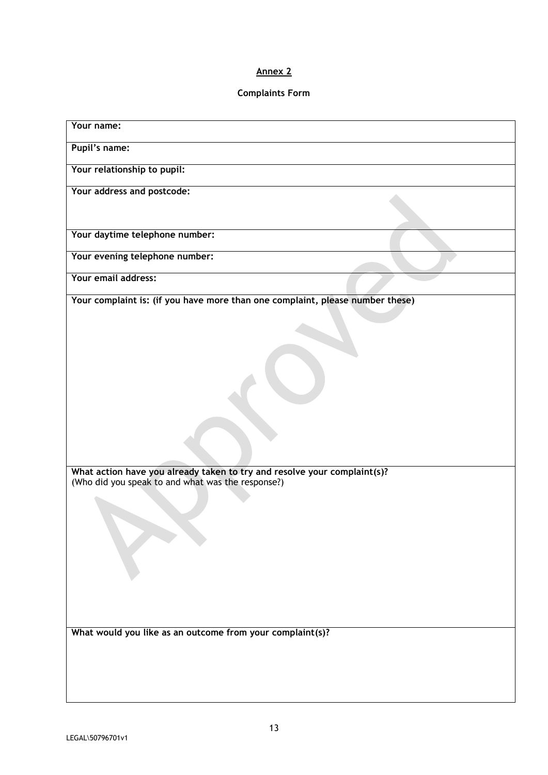#### **Annex 2**

#### **Complaints Form**

| Your name:                                                                                                                                                                                                                                                                  |  |
|-----------------------------------------------------------------------------------------------------------------------------------------------------------------------------------------------------------------------------------------------------------------------------|--|
| Pupil's name:                                                                                                                                                                                                                                                               |  |
| Your relationship to pupil:                                                                                                                                                                                                                                                 |  |
| Your address and postcode:                                                                                                                                                                                                                                                  |  |
| Your daytime telephone number:                                                                                                                                                                                                                                              |  |
| Your evening telephone number:                                                                                                                                                                                                                                              |  |
| Your email address:                                                                                                                                                                                                                                                         |  |
| Your complaint is: (if you have more than one complaint, please number these)<br>What action have you already taken to try and resolve your complaint(s)?<br>(Who did you speak to and what was the response?)<br>What would you like as an outcome from your complaint(s)? |  |
|                                                                                                                                                                                                                                                                             |  |
|                                                                                                                                                                                                                                                                             |  |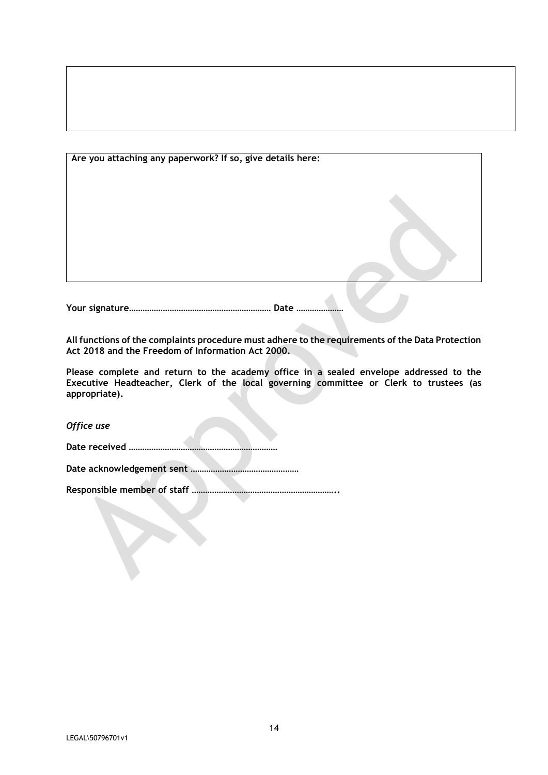| Are you attaching any paperwork? If so, give details here: |  |
|------------------------------------------------------------|--|
|                                                            |  |
|                                                            |  |
|                                                            |  |
|                                                            |  |
|                                                            |  |

**Your signature……………………………………………………… Date …………………**

**All functions of the complaints procedure must adhere to the requirements of the Data Protection Act 2018 and the Freedom of Information Act 2000.**

**Please complete and return to the academy office in a sealed envelope addressed to the Executive Headteacher, Clerk of the local governing committee or Clerk to trustees (as appropriate).**

*Office use*

**Date received …………………………………………………………**

**Date acknowledgement sent …………………………………………**

**Responsible member of staff ………………………………………………………..**